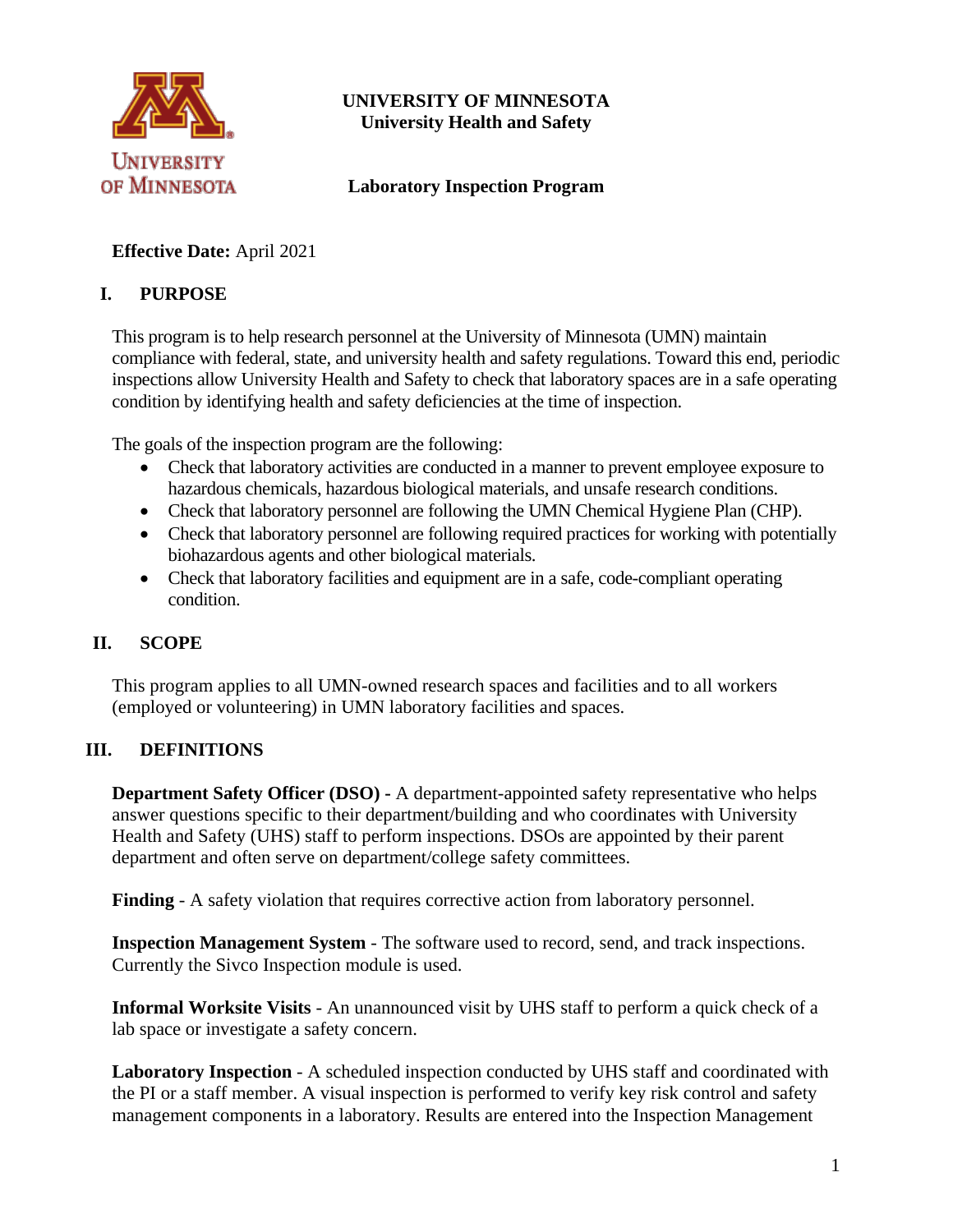

### **UNIVERSITY OF MINNESOTA University Health and Safety**

#### **Laboratory Inspection Program**

# **Effective Date:** April 2021

## **I. PURPOSE**

This program is to help research personnel at the University of Minnesota (UMN) maintain compliance with federal, state, and university health and safety regulations. Toward this end, periodic inspections allow University Health and Safety to check that laboratory spaces are in a safe operating condition by identifying health and safety deficiencies at the time of inspection.

The goals of the inspection program are the following:

- Check that laboratory activities are conducted in a manner to prevent employee exposure to hazardous chemicals, hazardous biological materials, and unsafe research conditions.
- Check that laboratory personnel are following the UMN Chemical Hygiene Plan (CHP).
- Check that laboratory personnel are following required practices for working with potentially biohazardous agents and other biological materials.
- Check that laboratory facilities and equipment are in a safe, code-compliant operating condition.

## **II. SCOPE**

This program applies to all UMN-owned research spaces and facilities and to all workers (employed or volunteering) in UMN laboratory facilities and spaces.

#### **III. DEFINITIONS**

**Department Safety Officer (DSO) -** A department-appointed safety representative who helps answer questions specific to their department/building and who coordinates with University Health and Safety (UHS) staff to perform inspections. DSOs are appointed by their parent department and often serve on department/college safety committees.

**Finding** - A safety violation that requires corrective action from laboratory personnel.

**Inspection Management System** - The software used to record, send, and track inspections. Currently the Sivco Inspection module is used.

**Informal Worksite Visits** - An unannounced visit by UHS staff to perform a quick check of a lab space or investigate a safety concern.

**Laboratory Inspection** - A scheduled inspection conducted by UHS staff and coordinated with the PI or a staff member. A visual inspection is performed to verify key risk control and safety management components in a laboratory. Results are entered into the Inspection Management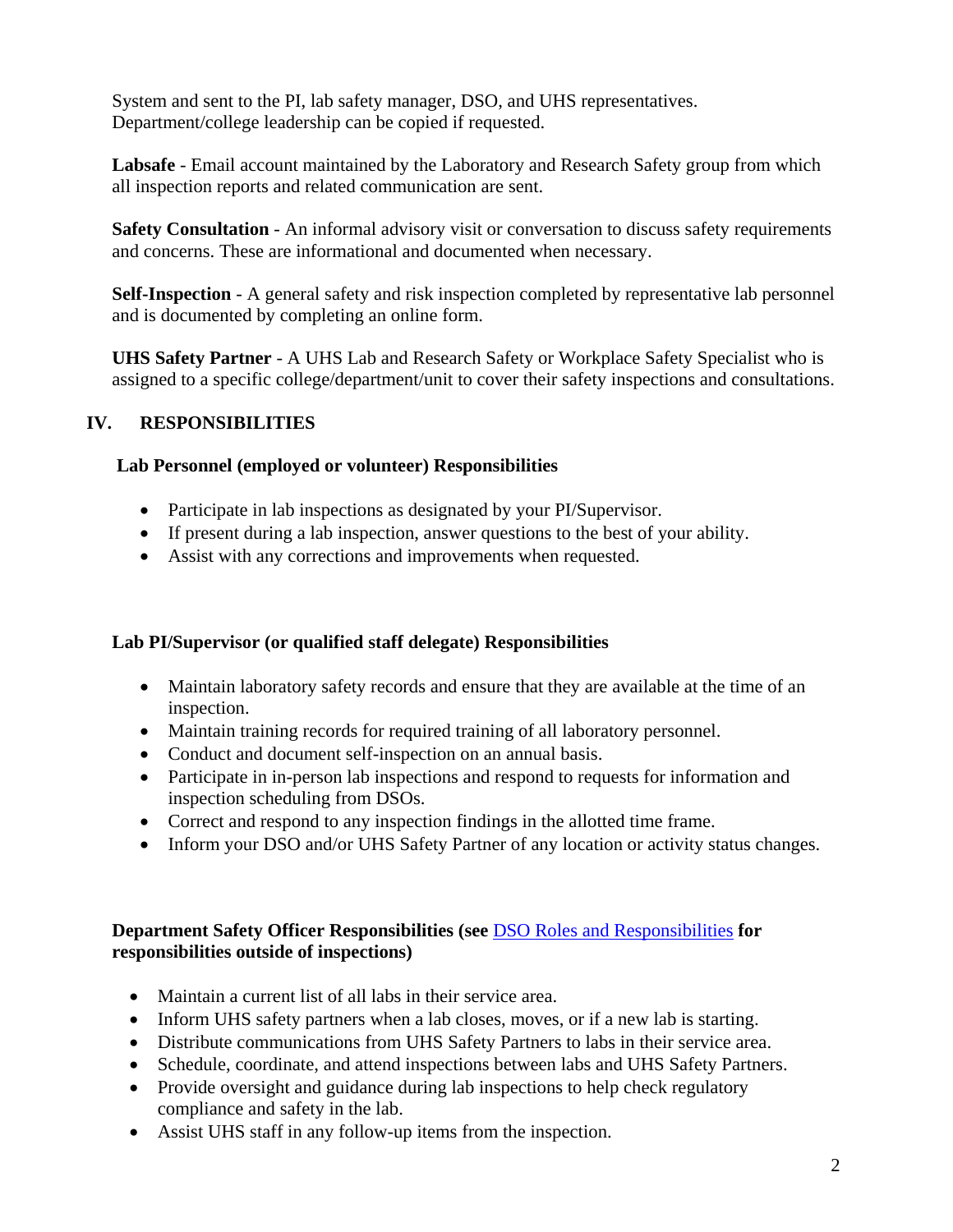System and sent to the PI, lab safety manager, DSO, and UHS representatives. Department/college leadership can be copied if requested.

**Labsafe** - Email account maintained by the Laboratory and Research Safety group from which all inspection reports and related communication are sent.

**Safety Consultation** - An informal advisory visit or conversation to discuss safety requirements and concerns. These are informational and documented when necessary.

**Self-Inspection** - A general safety and risk inspection completed by representative lab personnel and is documented by completing an online form.

**UHS Safety Partner** - A UHS Lab and Research Safety or Workplace Safety Specialist who is assigned to a specific college/department/unit to cover their safety inspections and consultations.

## **IV. RESPONSIBILITIES**

#### **Lab Personnel (employed or volunteer) Responsibilities**

- Participate in lab inspections as designated by your PI/Supervisor.
- If present during a lab inspection, answer questions to the best of your ability.
- Assist with any corrections and improvements when requested.

#### **Lab PI/Supervisor (or qualified staff delegate) Responsibilities**

- Maintain laboratory safety records and ensure that they are available at the time of an inspection.
- Maintain training records for required training of all laboratory personnel.
- Conduct and document self-inspection on an annual basis.
- Participate in in-person lab inspections and respond to requests for information and inspection scheduling from DSOs.
- Correct and respond to any inspection findings in the allotted time frame.
- Inform your DSO and/or UHS Safety Partner of any location or activity status changes.

### **Department Safety Officer Responsibilities (see** [DSO Roles and Responsibilities](https://dehs.umn.edu/department-safety-officer-dso) **for responsibilities outside of inspections)**

- Maintain a current list of all labs in their service area.
- Inform UHS safety partners when a lab closes, moves, or if a new lab is starting.
- Distribute communications from UHS Safety Partners to labs in their service area.
- Schedule, coordinate, and attend inspections between labs and UHS Safety Partners.
- Provide oversight and guidance during lab inspections to help check regulatory compliance and safety in the lab.
- Assist UHS staff in any follow-up items from the inspection.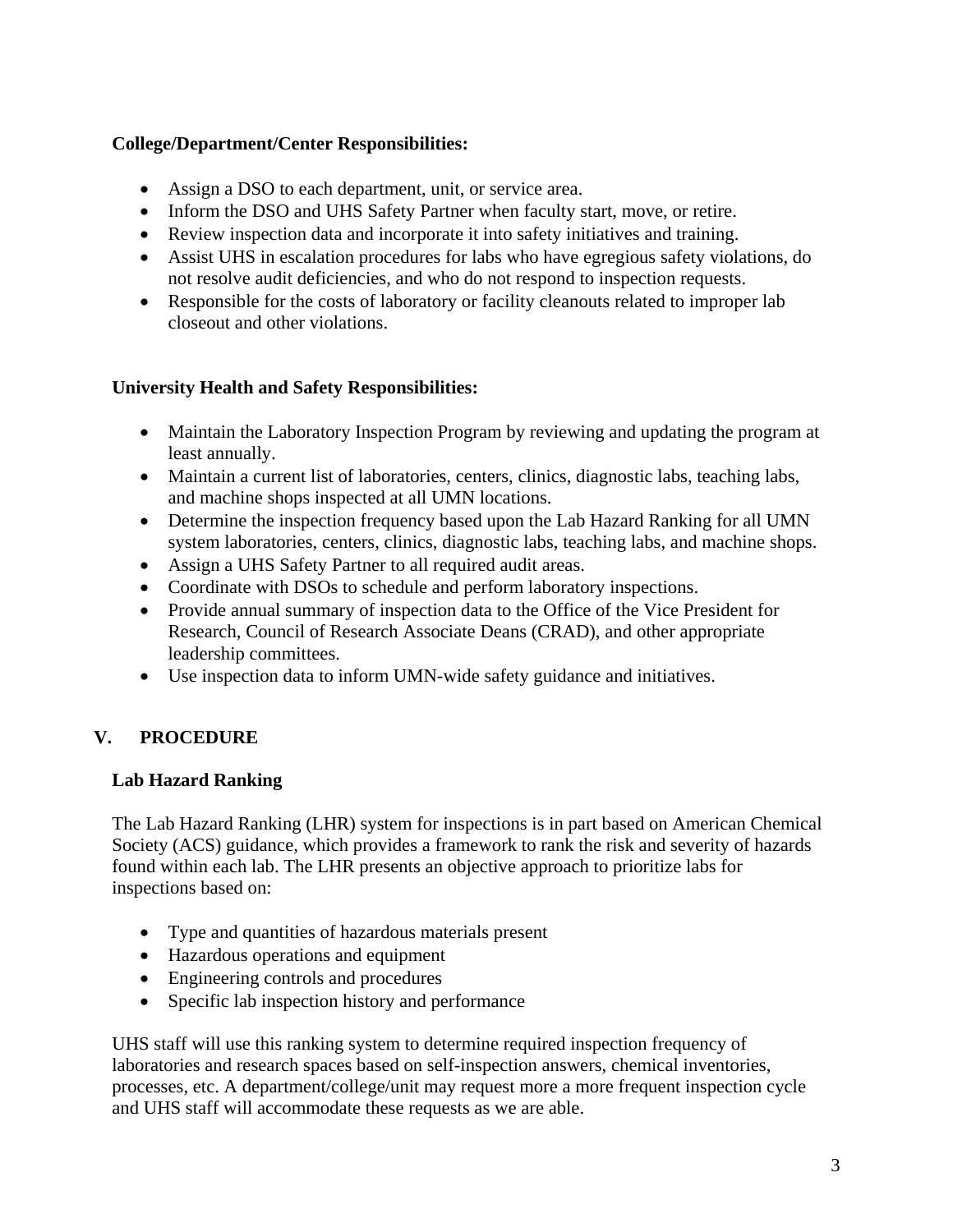#### **College/Department/Center Responsibilities:**

- Assign a DSO to each department, unit, or service area.
- Inform the DSO and UHS Safety Partner when faculty start, move, or retire.
- Review inspection data and incorporate it into safety initiatives and training.
- Assist UHS in escalation procedures for labs who have egregious safety violations, do not resolve audit deficiencies, and who do not respond to inspection requests.
- Responsible for the costs of laboratory or facility cleanouts related to improper lab closeout and other violations.

#### **University Health and Safety Responsibilities:**

- Maintain the Laboratory Inspection Program by reviewing and updating the program at least annually.
- Maintain a current list of laboratories, centers, clinics, diagnostic labs, teaching labs, and machine shops inspected at all UMN locations.
- Determine the inspection frequency based upon the Lab Hazard Ranking for all UMN system laboratories, centers, clinics, diagnostic labs, teaching labs, and machine shops.
- Assign a UHS Safety Partner to all required audit areas.
- Coordinate with DSOs to schedule and perform laboratory inspections.
- Provide annual summary of inspection data to the Office of the Vice President for Research, Council of Research Associate Deans (CRAD), and other appropriate leadership committees.
- Use inspection data to inform UMN-wide safety guidance and initiatives.

## **V. PROCEDURE**

#### **Lab Hazard Ranking**

The Lab Hazard Ranking (LHR) system for inspections is in part based on American Chemical Society (ACS) guidance, which provides a framework to rank the risk and severity of hazards found within each lab. The LHR presents an objective approach to prioritize labs for inspections based on:

- Type and quantities of hazardous materials present
- Hazardous operations and equipment
- Engineering controls and procedures
- Specific lab inspection history and performance

UHS staff will use this ranking system to determine required inspection frequency of laboratories and research spaces based on self-inspection answers, chemical inventories, processes, etc. A department/college/unit may request more a more frequent inspection cycle and UHS staff will accommodate these requests as we are able.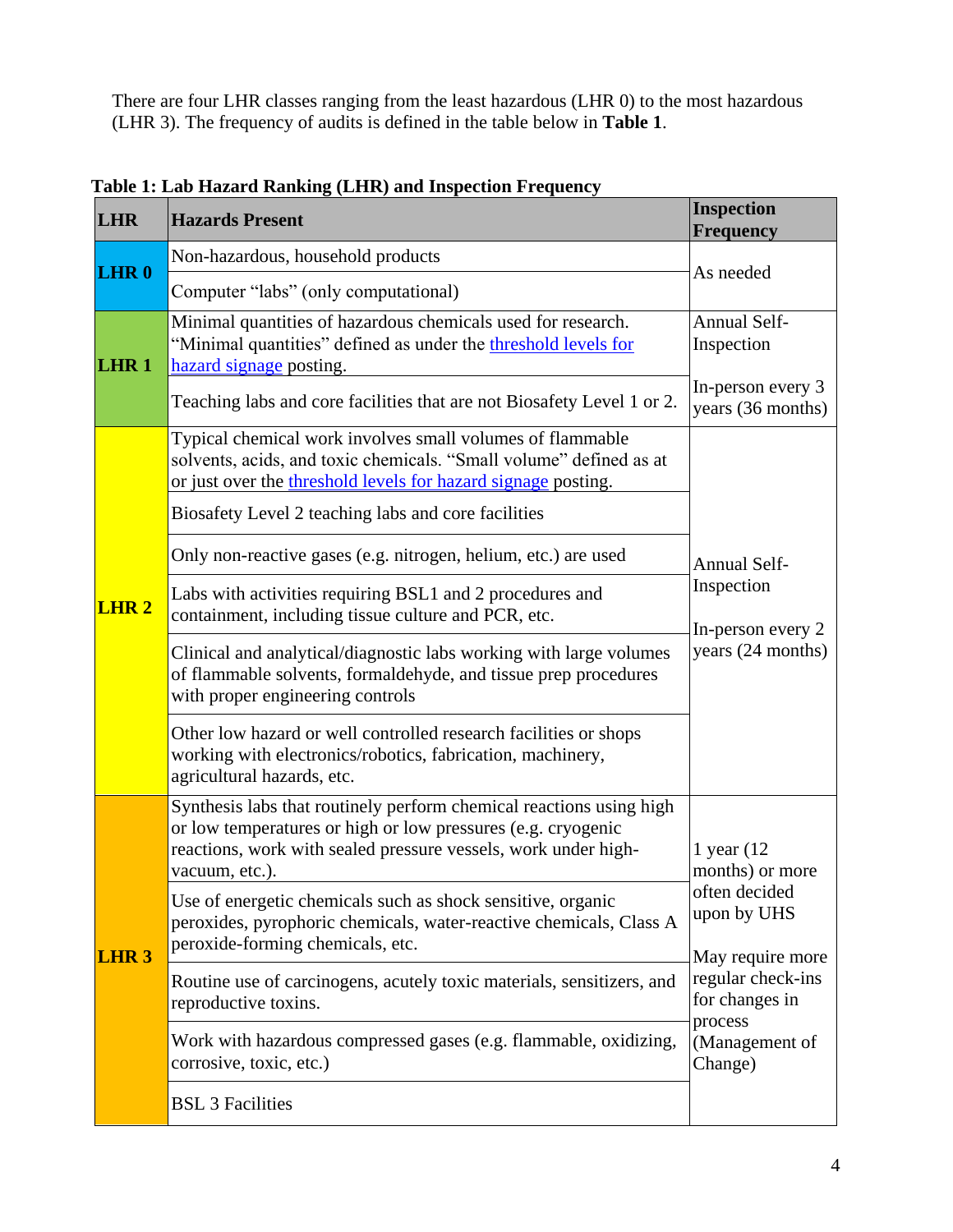There are four LHR classes ranging from the least hazardous (LHR 0) to the most hazardous (LHR 3). The frequency of audits is defined in the table below in **Table 1**.

| <b>LHR</b>       | <b>Hazards Present</b>                                                                                                                                                                                                  | Inspection<br>Frequency                                                                                                                                             |
|------------------|-------------------------------------------------------------------------------------------------------------------------------------------------------------------------------------------------------------------------|---------------------------------------------------------------------------------------------------------------------------------------------------------------------|
| <b>LHR0</b>      | Non-hazardous, household products                                                                                                                                                                                       | As needed                                                                                                                                                           |
|                  | Computer "labs" (only computational)                                                                                                                                                                                    |                                                                                                                                                                     |
| <b>LHR1</b>      | Minimal quantities of hazardous chemicals used for research.<br>"Minimal quantities" defined as under the threshold levels for<br>hazard signage posting.                                                               | <b>Annual Self-</b><br>Inspection                                                                                                                                   |
|                  | Teaching labs and core facilities that are not Biosafety Level 1 or 2.                                                                                                                                                  | In-person every 3<br>years (36 months)                                                                                                                              |
| LHR <sub>2</sub> | Typical chemical work involves small volumes of flammable<br>solvents, acids, and toxic chemicals. "Small volume" defined as at<br>or just over the threshold levels for hazard signage posting.                        | <b>Annual Self-</b><br>Inspection<br>In-person every 2<br>years (24 months)                                                                                         |
|                  | Biosafety Level 2 teaching labs and core facilities                                                                                                                                                                     |                                                                                                                                                                     |
|                  | Only non-reactive gases (e.g. nitrogen, helium, etc.) are used                                                                                                                                                          |                                                                                                                                                                     |
|                  | Labs with activities requiring BSL1 and 2 procedures and<br>containment, including tissue culture and PCR, etc.                                                                                                         |                                                                                                                                                                     |
|                  | Clinical and analytical/diagnostic labs working with large volumes<br>of flammable solvents, formaldehyde, and tissue prep procedures<br>with proper engineering controls                                               |                                                                                                                                                                     |
|                  | Other low hazard or well controlled research facilities or shops<br>working with electronics/robotics, fabrication, machinery,<br>agricultural hazards, etc.                                                            |                                                                                                                                                                     |
| LHR <sub>3</sub> | Synthesis labs that routinely perform chemical reactions using high<br>or low temperatures or high or low pressures (e.g. cryogenic<br>reactions, work with sealed pressure vessels, work under high-<br>vacuum, etc.). | 1 year $(12)$<br>months) or more<br>often decided<br>upon by UHS<br>May require more<br>regular check-ins<br>for changes in<br>process<br>(Management of<br>Change) |
|                  | Use of energetic chemicals such as shock sensitive, organic<br>peroxides, pyrophoric chemicals, water-reactive chemicals, Class A<br>peroxide-forming chemicals, etc.                                                   |                                                                                                                                                                     |
|                  | Routine use of carcinogens, acutely toxic materials, sensitizers, and<br>reproductive toxins.                                                                                                                           |                                                                                                                                                                     |
|                  | Work with hazardous compressed gases (e.g. flammable, oxidizing,<br>corrosive, toxic, etc.)                                                                                                                             |                                                                                                                                                                     |
|                  | <b>BSL 3 Facilities</b>                                                                                                                                                                                                 |                                                                                                                                                                     |

**Table 1: Lab Hazard Ranking (LHR) and Inspection Frequency**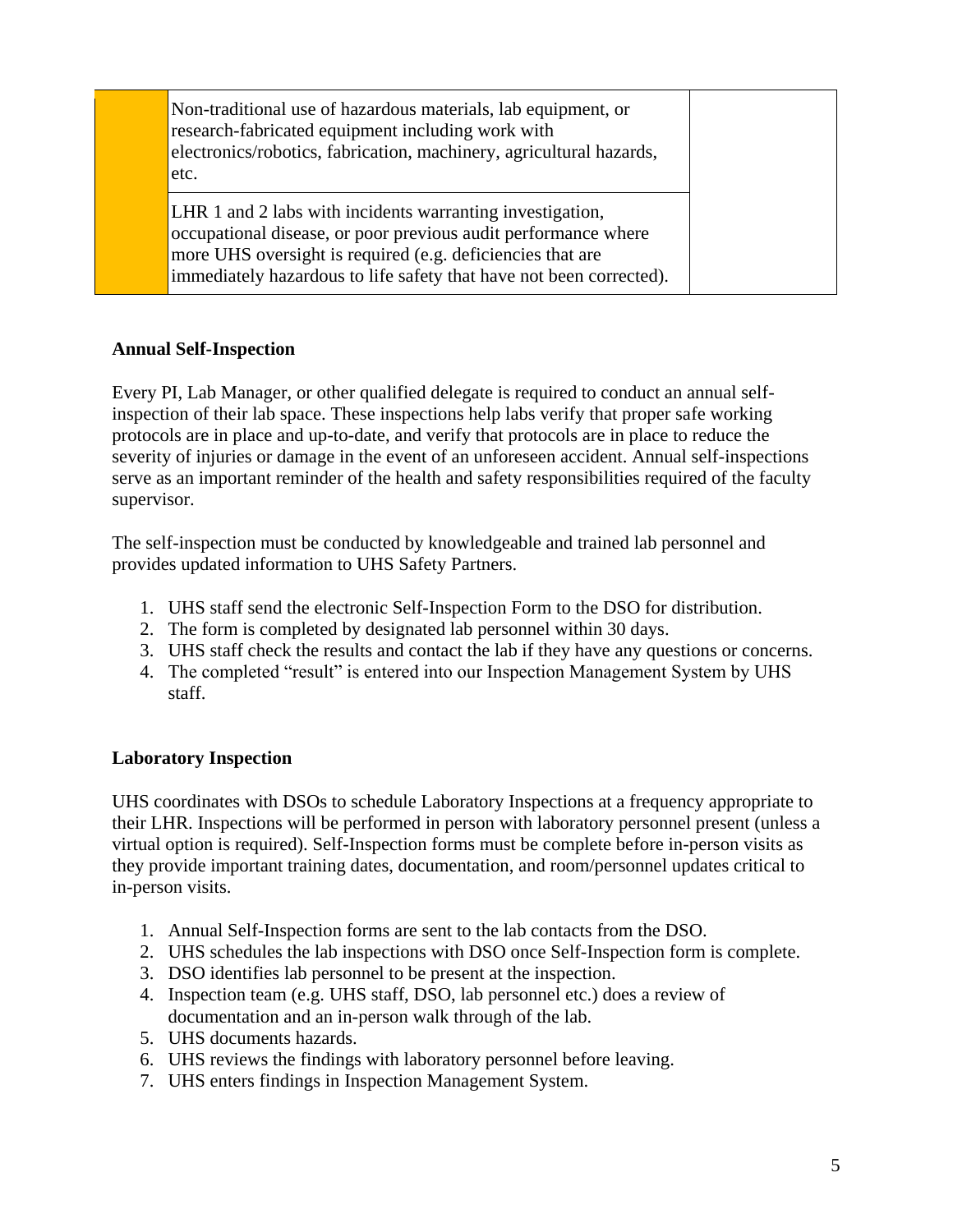| Non-traditional use of hazardous materials, lab equipment, or<br>research-fabricated equipment including work with<br>electronics/robotics, fabrication, machinery, agricultural hazards,<br>etc.                                                                |  |
|------------------------------------------------------------------------------------------------------------------------------------------------------------------------------------------------------------------------------------------------------------------|--|
| LHR 1 and 2 labs with incidents warranting investigation,<br>occupational disease, or poor previous audit performance where<br>more UHS oversight is required (e.g. deficiencies that are<br>immediately hazardous to life safety that have not been corrected). |  |

#### **Annual Self-Inspection**

Every PI, Lab Manager, or other qualified delegate is required to conduct an annual selfinspection of their lab space. These inspections help labs verify that proper safe working protocols are in place and up-to-date, and verify that protocols are in place to reduce the severity of injuries or damage in the event of an unforeseen accident. Annual self-inspections serve as an important reminder of the health and safety responsibilities required of the faculty supervisor.

The self-inspection must be conducted by knowledgeable and trained lab personnel and provides updated information to UHS Safety Partners.

- 1. UHS staff send the electronic Self-Inspection Form to the DSO for distribution.
- 2. The form is completed by designated lab personnel within 30 days.
- 3. UHS staff check the results and contact the lab if they have any questions or concerns.
- 4. The completed "result" is entered into our Inspection Management System by UHS staff.

#### **Laboratory Inspection**

UHS coordinates with DSOs to schedule Laboratory Inspections at a frequency appropriate to their LHR. Inspections will be performed in person with laboratory personnel present (unless a virtual option is required). Self-Inspection forms must be complete before in-person visits as they provide important training dates, documentation, and room/personnel updates critical to in-person visits.

- 1. Annual Self-Inspection forms are sent to the lab contacts from the DSO.
- 2. UHS schedules the lab inspections with DSO once Self-Inspection form is complete.
- 3. DSO identifies lab personnel to be present at the inspection.
- 4. Inspection team (e.g. UHS staff, DSO, lab personnel etc.) does a review of documentation and an in-person walk through of the lab.
- 5. UHS documents hazards.
- 6. UHS reviews the findings with laboratory personnel before leaving.
- 7. UHS enters findings in Inspection Management System.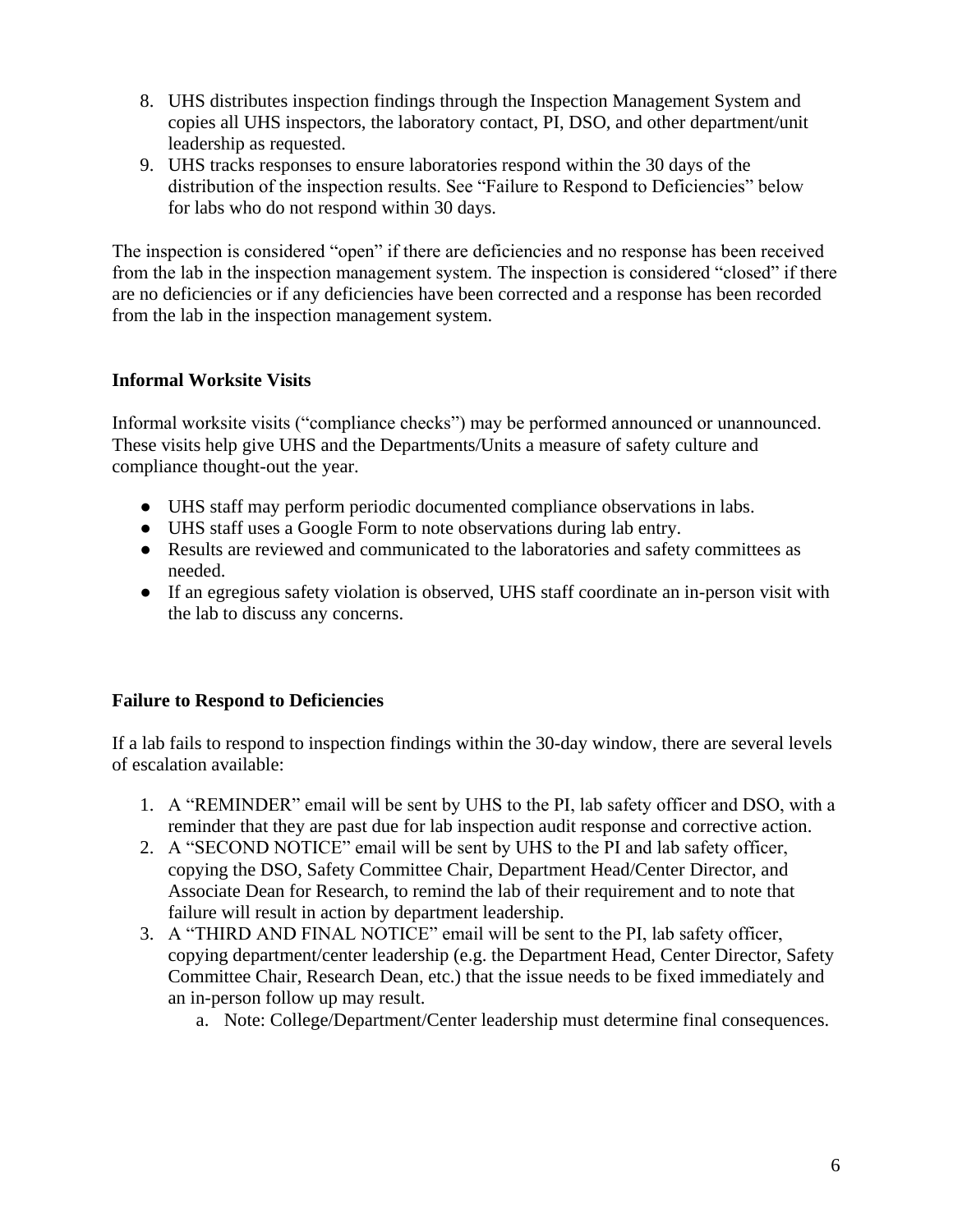- 8. UHS distributes inspection findings through the Inspection Management System and copies all UHS inspectors, the laboratory contact, PI, DSO, and other department/unit leadership as requested.
- 9. UHS tracks responses to ensure laboratories respond within the 30 days of the distribution of the inspection results. See "Failure to Respond to Deficiencies" below for labs who do not respond within 30 days.

The inspection is considered "open" if there are deficiencies and no response has been received from the lab in the inspection management system. The inspection is considered "closed" if there are no deficiencies or if any deficiencies have been corrected and a response has been recorded from the lab in the inspection management system.

### **Informal Worksite Visits**

Informal worksite visits ("compliance checks") may be performed announced or unannounced. These visits help give UHS and the Departments/Units a measure of safety culture and compliance thought-out the year.

- UHS staff may perform periodic documented compliance observations in labs.
- UHS staff uses a Google Form to note observations during lab entry.
- Results are reviewed and communicated to the laboratories and safety committees as needed.
- If an egregious safety violation is observed, UHS staff coordinate an in-person visit with the lab to discuss any concerns.

## **Failure to Respond to Deficiencies**

If a lab fails to respond to inspection findings within the 30-day window, there are several levels of escalation available:

- 1. A "REMINDER" email will be sent by UHS to the PI, lab safety officer and DSO, with a reminder that they are past due for lab inspection audit response and corrective action.
- 2. A "SECOND NOTICE" email will be sent by UHS to the PI and lab safety officer, copying the DSO, Safety Committee Chair, Department Head/Center Director, and Associate Dean for Research, to remind the lab of their requirement and to note that failure will result in action by department leadership.
- 3. A "THIRD AND FINAL NOTICE" email will be sent to the PI, lab safety officer, copying department/center leadership (e.g. the Department Head, Center Director, Safety Committee Chair, Research Dean, etc.) that the issue needs to be fixed immediately and an in-person follow up may result.
	- a. Note: College/Department/Center leadership must determine final consequences.